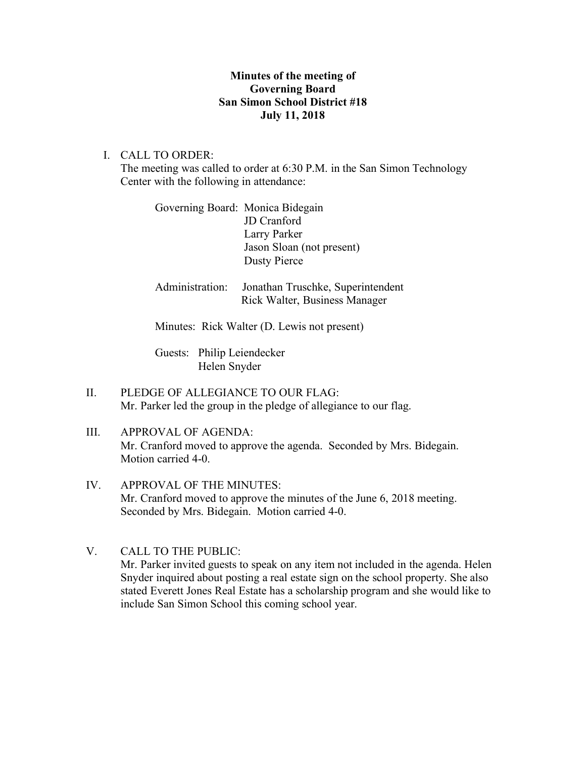## **Minutes of the meeting of Governing Board San Simon School District #18 July 11, 2018**

I. CALL TO ORDER:

The meeting was called to order at 6:30 P.M. in the San Simon Technology Center with the following in attendance:

| Governing Board: Monica Bidegain |                           |
|----------------------------------|---------------------------|
|                                  | <b>JD</b> Cranford        |
|                                  | Larry Parker              |
|                                  | Jason Sloan (not present) |
|                                  | <b>Dusty Pierce</b>       |
|                                  |                           |

Administration: Jonathan Truschke, Superintendent Rick Walter, Business Manager

Minutes: Rick Walter (D. Lewis not present)

Guests: Philip Leiendecker Helen Snyder

- II. PLEDGE OF ALLEGIANCE TO OUR FLAG: Mr. Parker led the group in the pledge of allegiance to our flag.
- III. APPROVAL OF AGENDA: Mr. Cranford moved to approve the agenda. Seconded by Mrs. Bidegain. Motion carried 4-0.
- IV. APPROVAL OF THE MINUTES: Mr. Cranford moved to approve the minutes of the June 6, 2018 meeting. Seconded by Mrs. Bidegain. Motion carried 4-0.
- V. CALL TO THE PUBLIC: Mr. Parker invited guests to speak on any item not included in the agenda. Helen Snyder inquired about posting a real estate sign on the school property. She also stated Everett Jones Real Estate has a scholarship program and she would like to include San Simon School this coming school year.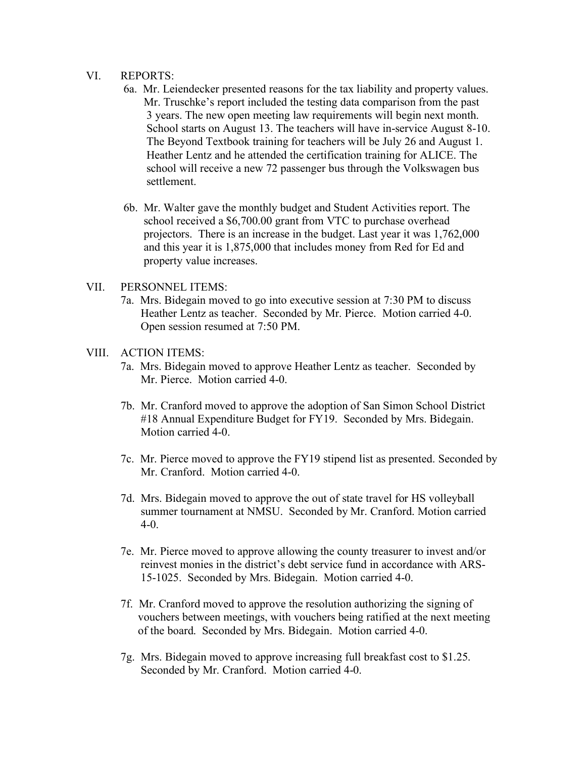### VI. REPORTS:

- 6a. Mr. Leiendecker presented reasons for the tax liability and property values. Mr. Truschke's report included the testing data comparison from the past 3 years. The new open meeting law requirements will begin next month. School starts on August 13. The teachers will have in-service August 8-10. The Beyond Textbook training for teachers will be July 26 and August 1. Heather Lentz and he attended the certification training for ALICE. The school will receive a new 72 passenger bus through the Volkswagen bus settlement.
- 6b. Mr. Walter gave the monthly budget and Student Activities report. The school received a \$6,700.00 grant from VTC to purchase overhead projectors. There is an increase in the budget. Last year it was 1,762,000 and this year it is 1,875,000 that includes money from Red for Ed and property value increases.

### VII. PERSONNEL ITEMS:

7a. Mrs. Bidegain moved to go into executive session at 7:30 PM to discuss Heather Lentz as teacher. Seconded by Mr. Pierce. Motion carried 4-0. Open session resumed at 7:50 PM.

### VIII. ACTION ITEMS:

- 7a. Mrs. Bidegain moved to approve Heather Lentz as teacher. Seconded by Mr. Pierce. Motion carried 4-0.
- 7b. Mr. Cranford moved to approve the adoption of San Simon School District #18 Annual Expenditure Budget for FY19. Seconded by Mrs. Bidegain. Motion carried 4-0.
- 7c. Mr. Pierce moved to approve the FY19 stipend list as presented. Seconded by Mr. Cranford. Motion carried 4-0.
- 7d. Mrs. Bidegain moved to approve the out of state travel for HS volleyball summer tournament at NMSU. Seconded by Mr. Cranford. Motion carried 4-0.
- 7e. Mr. Pierce moved to approve allowing the county treasurer to invest and/or reinvest monies in the district's debt service fund in accordance with ARS- 15-1025. Seconded by Mrs. Bidegain. Motion carried 4-0.
- 7f. Mr. Cranford moved to approve the resolution authorizing the signing of vouchers between meetings, with vouchers being ratified at the next meeting of the board. Seconded by Mrs. Bidegain. Motion carried 4-0.
- 7g. Mrs. Bidegain moved to approve increasing full breakfast cost to \$1.25. Seconded by Mr. Cranford. Motion carried 4-0.